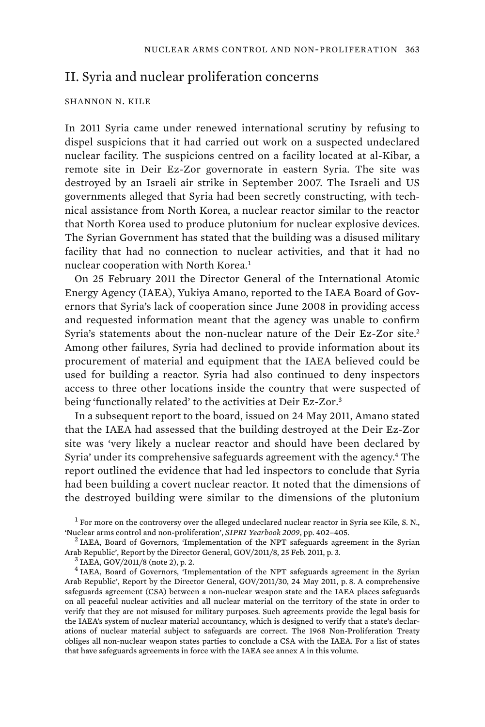## II. Syria and nuclear proliferation concerns

## SHANNON N. KILE

In 2011 Syria came under renewed international scrutiny by refusing to dispel suspicions that it had carried out work on a suspected undeclared nuclear facility. The suspicions centred on a facility located at al-Kibar, a remote site in Deir Ez-Zor governorate in eastern Syria. The site was destroyed by an Israeli air strike in September 2007. The Israeli and US governments alleged that Syria had been secretly constructing, with technical assistance from North Korea, a nuclear reactor similar to the reactor that North Korea used to produce plutonium for nuclear explosive devices. The Syrian Government has stated that the building was a disused military facility that had no connection to nuclear activities, and that it had no nuclear cooperation with North Korea.<sup>1</sup>

On 25 February 2011 the Director General of the International Atomic Energy Agency (IAEA), Yukiya Amano, reported to the IAEA Board of Governors that Syria's lack of cooperation since June 2008 in providing access and requested information meant that the agency was unable to confirm Syria's statements about the non-nuclear nature of the Deir Ez-Zor site.<sup>2</sup> Among other failures, Syria had declined to provide information about its procurement of material and equipment that the IAEA believed could be used for building a reactor. Syria had also continued to deny inspectors access to three other locations inside the country that were suspected of being 'functionally related' to the activities at Deir Ez-Zor.<sup>3</sup>

In a subsequent report to the board, issued on 24 May 2011, Amano stated that the IAEA had assessed that the building destroyed at the Deir Ez-Zor site was 'very likely a nuclear reactor and should have been declared by Syria' under its comprehensive safeguards agreement with the agency.<sup>4</sup> The report outlined the evidence that had led inspectors to conclude that Syria had been building a covert nuclear reactor. It noted that the dimensions of the destroyed building were similar to the dimensions of the plutonium

 $1$  For more on the controversy over the alleged undeclared nuclear reactor in Syria see Kile, S. N., 'Nuclear arms control and non-proliferation', *SIPRI Yearbook 2009*, pp. 402–405. <sup>2</sup>

<sup>&</sup>lt;sup>2</sup> IAEA, Board of Governors, 'Implementation of the NPT safeguards agreement in the Syrian Arab Republic', Report by the Director General, GOV/2011/8, 25 Feb. 2011, p. 3.

IAEA, GOV/2011/8 (note 2), p. 2.

<sup>&</sup>lt;sup>4</sup> IAEA, Board of Governors, 'Implementation of the NPT safeguards agreement in the Syrian Arab Republic', Report by the Director General, GOV/2011/30, 24 May 2011, p. 8. A comprehensive safeguards agreement (CSA) between a non-nuclear weapon state and the IAEA places safeguards on all peaceful nuclear activities and all nuclear material on the territory of the state in order to verify that they are not misused for military purposes. Such agreements provide the legal basis for the IAEA's system of nuclear material accountancy, which is designed to verify that a state's declarations of nuclear material subject to safeguards are correct. The 1968 Non-Proliferation Treaty obliges all non-nuclear weapon states parties to conclude a CSA with the IAEA. For a list of states that have safeguards agreements in force with the IAEA see annex A in this volume.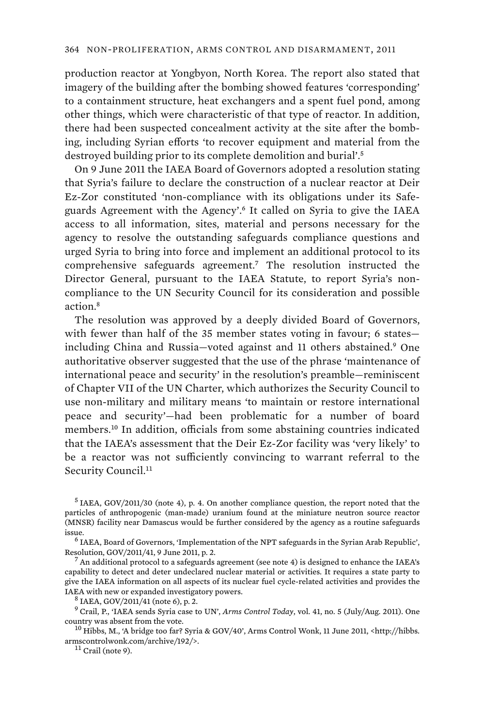production reactor at Yongbyon, North Korea. The report also stated that imagery of the building after the bombing showed features 'corresponding' to a containment structure, heat exchangers and a spent fuel pond, among other things, which were characteristic of that type of reactor. In addition, there had been suspected concealment activity at the site after the bombing, including Syrian efforts 'to recover equipment and material from the destroyed building prior to its complete demolition and burial'.<sup>5</sup>

On 9 June 2011 the IAEA Board of Governors adopted a resolution stating that Syria's failure to declare the construction of a nuclear reactor at Deir Ez-Zor constituted 'non-compliance with its obligations under its Safeguards Agreement with the Agency'.<sup>6</sup> It called on Syria to give the IAEA access to all information, sites, material and persons necessary for the agency to resolve the outstanding safeguards compliance questions and urged Syria to bring into force and implement an additional protocol to its comprehensive safeguards agreement.<sup>7</sup> The resolution instructed the Director General, pursuant to the IAEA Statute, to report Syria's noncompliance to the UN Security Council for its consideration and possible action.<sup>8</sup>

The resolution was approved by a deeply divided Board of Governors, with fewer than half of the 35 member states voting in favour; 6 states including China and Russia—voted against and 11 others abstained.<sup>9</sup> One authoritative observer suggested that the use of the phrase 'maintenance of international peace and security' in the resolution's preamble—reminiscent of Chapter VII of the UN Charter, which authorizes the Security Council to use non-military and military means 'to maintain or restore international peace and security'—had been problematic for a number of board members.<sup>10</sup> In addition, officials from some abstaining countries indicated that the IAEA's assessment that the Deir Ez-Zor facility was 'very likely' to be a reactor was not sufficiently convincing to warrant referral to the Security Council.<sup>11</sup>

<sup>5</sup> IAEA, GOV/2011/30 (note 4), p. 4. On another compliance question, the report noted that the particles of anthropogenic (man-made) uranium found at the miniature neutron source reactor (MNSR) facility near Damascus would be further considered by the agency as a routine safeguards issue.

<sup>6</sup> IAEA, Board of Governors, 'Implementation of the NPT safeguards in the Syrian Arab Republic', Resolution, GOV/2011/41, 9 June 2011, p. 2. <sup>7</sup>

 An additional protocol to a safeguards agreement (see note 4) is designed to enhance the IAEA's capability to detect and deter undeclared nuclear material or activities. It requires a state party to give the IAEA information on all aspects of its nuclear fuel cycle-related activities and provides the IAEA with new or expanded investigatory powers.

<sup>8</sup> IAEA, GOV/2011/41 (note 6), p. 2.

9 Crail, P., 'IAEA sends Syria case to UN', *Arms Control Today*, vol. 41, no. 5 (July/Aug. 2011). One country was absent from the vote. 10 Hibbs, M., 'A bridge too far? Syria & GOV/40', Arms Control Wonk, 11 June 2011, <http://hibbs.

armscontrolwonk.com/archive/192/>.<br><sup>11</sup> Crail (note 9).